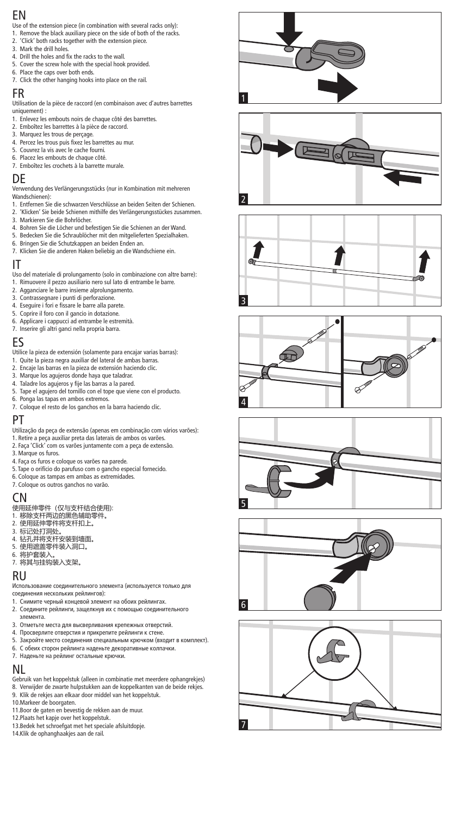## EN

- Use of the extension piece (in combination with several racks only): EN
- 1. Remove the black auxiliary piece on the side of both of the racks.
- 2. 'Click' both racks together with the extension piece. 3. Mark the drill holes.
- 4. Drill the holes and fix the racks to the wall.
- 5. Cover the screw hole with the special hook provided.
- 6. Place the caps over both ends.
- 7. Click the other hanging hooks into place on the rail.

#### FR 7. Click the other hanging hooks into place on the rail.

Utilisation de la pièce de raccord (en combinaison avec d'autres barrettes FR  $uniquement)$  :  $\blacksquare$ 

- 
- 1. Enlevez les embouts noirs de chaque côté des barrettes. 2. Emboîtez les barrettes à la pièce de raccord.
- 3. Marquez les trous de perçage.
- 4. Percez les trous puis fixez les barrettes au mur.
- 5. Couvrez la vis avec le cache fourni.
- 6. Placez les embouts de chaque côté.
- 7. Emboîtez les crochets à la barrette murale. 7. Emboîtez les crochets à la barrette murale.

## DE

Verwendung des Verlängerungsstücks (nur in Kombination mit mehreren DE Wandschienen):

- Wandschienen):<br>1. Entfernen Sie die schwarzen Verschlüsse an beiden Seiten der Schienen.
- 2. 'Klicken' Sie beide Schienen mithilfe des Verlängerungsstückes zusammen.
- 3. Markieren Sie die Bohrlöcher.
- 4. Bohren Sie die Löcher und befestigen Sie die Schienen an der Wand.
- 5. Bedecken Sie die Schraublöcher mit den mitgelieferten Spezialhaken.
- 6. Bringen Sie die Schutzkappen an beiden Enden an.
- 7. Klicken Sie die anderen Haken beliebig an die Wandschiene ein.

#### IT 7. Klicken Sie die anderen Haken beliebig an die Wandschiene ein.

u u<br>Uso del materiale di prolungamento (solo in combinazione con altre barre):

- 1. Rimuovere il pezzo ausiliario nero sul lato di entrambe le barre.
- 2. Agganciare le barre insieme alprolungamento.
- 3. Contrassegnare i punti di perforazione.
- 4. Eseguire i fori e fissare le barre alla parete.
- 5. Coprire il foro con il gancio in dotazione.<br>6. Applicare i cappucci ad entrambe le estremità.
- 7. Inserire gli altri ganci nella propria barra.

#### ES 7. Inserire gli altri ganci nella propria barra.

- Utilice la pieza de extensión (solamente para encajar varias barras): ES
- 1. Quite la pieza negra auxiliar del lateral de ambas barras.
- 2. Encaje las barras en la pieza de extensión haciendo clic.
- 3. Marque los agujeros donde haya que taladrar.<br>4. Taladre los agujeros y fije las barras a la pared.
- 
- 5. Tape el agujero del tornillo con el tope que viene con el producto.
- 6. Ponga las tapas en ambos extremos.
- 7. Coloque el resto de los ganchos en la barra haciendo clic.

#### PT 7. Coloque el resto de los ganchos en la barra haciendo clic.

- ■<br>Utilização da peça de extensão (apenas em combinação com vários varões):<br>1. Retire a peça auxiliar preta das laterais de ambos os varões.
- 
- 2. Faça 'Click' com os varões juntamente com a peça de extensão. 3. Marque os furos.
- 4. Faça os furos e coloque os varões na parede.
- 5. Tape o orifício do parufuso com o gancho especial fornecido.
- 6. Coloque as tampas em ambas as extremidades.
- 7. Coloque os outros ganchos no varão.

#### CN 7. Coloque os outros ganchos no varão.

- 使用延伸零件(仅与支杆结合使用): CN
- 1. 移除支杆两边的黑色辅助零件。
- 2. 使用延伸零件将支杆扣上。
- 
- 3. 标记处打洞处。<br>4. 钻孔并将支杆安装到墙面。
- 5. 使用遮盖零件装入洞口。
- 6. 将护套装入。
- 7. 将其与挂钩装入支架。

#### RU 7. ሼެфᤸ䫟㻻ޛ᭥ᷬȾ

- Использование соединительного элемента (используется только для RU соединения нескольких рейлингов):
- 1. Снимите черный концевой элемент на обоих рейлингах.
- 2. Соедините рейлинги, защелкнув их с помощью соединительного
- элемента. В объясно и стало на тематика и стало на тематика и стало на тематика и стало на тематика и стало на 3. Отметьте места для высверливания крепежных отверстий.
- 4. Просверлите отверстия и прикрепите рейлинги к стене.
- 5. Закройте место соединения специальным крючком (входит в комплект).
- 
- 6. С обеих сторон рейлинга наденьте декоративные колпачки.<br>7. Наденьте на рейлинг остальные крючки.

#### NL ¨»¿ÀÈ×ÍÀÈ»ËÀÄÆÃȾÉÌÍ»Æ×ÈÖÀÅËÙÒÅÃ

- Gebruik van het koppelstuk (alleen in combinatie met meerdere ophangrekjes) NL
- 8. Verwijder de zwarte hulpstukken aan de koppelkanten van de beide rekjes. 9. Klik de rekjes aan elkaar door middel van het koppelstuk.
- 10. Markeer de boorgaten.
- 11.Boor de gaten en bevestig de rekken aan de muur. 12.Plaats het kapje over het koppelstuk. 3. Markeer de boorgaten. 4. Boor de gaten en bevestig de rekken aan de muur.
- 
- 13. Bedek het schroefgat met het speciale afsluitdopje.
- 14.Klik de ophanghaakjes aan de rail.